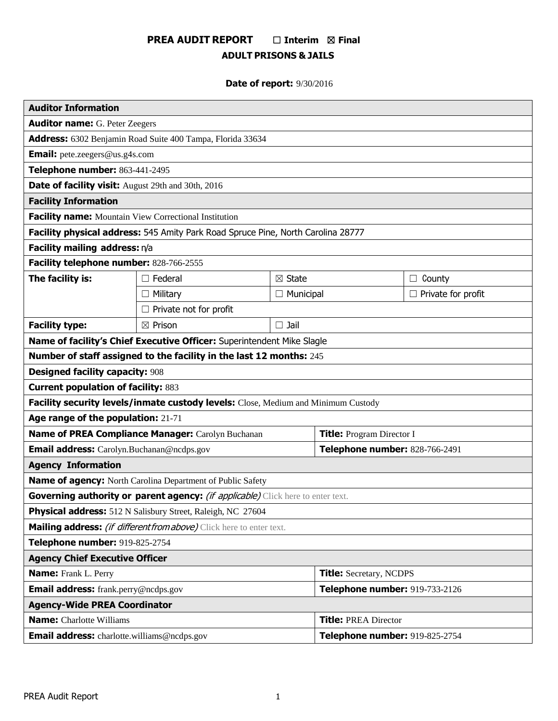# **PREA AUDIT REPORT** ☐ **Interim** ☒ **Final ADULT PRISONS & JAILS**

# **Date of report:** 9/30/2016

| <b>Auditor Information</b>                                                             |                               |                   |                                  |                           |  |
|----------------------------------------------------------------------------------------|-------------------------------|-------------------|----------------------------------|---------------------------|--|
| <b>Auditor name:</b> G. Peter Zeegers                                                  |                               |                   |                                  |                           |  |
| Address: 6302 Benjamin Road Suite 400 Tampa, Florida 33634                             |                               |                   |                                  |                           |  |
| <b>Email:</b> pete.zeegers@us.g4s.com                                                  |                               |                   |                                  |                           |  |
| Telephone number: 863-441-2495                                                         |                               |                   |                                  |                           |  |
| Date of facility visit: August 29th and 30th, 2016                                     |                               |                   |                                  |                           |  |
| <b>Facility Information</b>                                                            |                               |                   |                                  |                           |  |
| <b>Facility name:</b> Mountain View Correctional Institution                           |                               |                   |                                  |                           |  |
| Facility physical address: 545 Amity Park Road Spruce Pine, North Carolina 28777       |                               |                   |                                  |                           |  |
| Facility mailing address: n/a                                                          |                               |                   |                                  |                           |  |
| Facility telephone number: 828-766-2555                                                |                               |                   |                                  |                           |  |
| The facility is:                                                                       | $\Box$ Federal                | $\boxtimes$ State |                                  | $\Box$ County             |  |
|                                                                                        | $\Box$ Military               | $\Box$ Municipal  |                                  | $\Box$ Private for profit |  |
|                                                                                        | $\Box$ Private not for profit |                   |                                  |                           |  |
| <b>Facility type:</b>                                                                  | $\boxtimes$ Prison            | $\Box$ Jail       |                                  |                           |  |
| Name of facility's Chief Executive Officer: Superintendent Mike Slagle                 |                               |                   |                                  |                           |  |
| Number of staff assigned to the facility in the last 12 months: 245                    |                               |                   |                                  |                           |  |
| <b>Designed facility capacity: 908</b>                                                 |                               |                   |                                  |                           |  |
| <b>Current population of facility: 883</b>                                             |                               |                   |                                  |                           |  |
| Facility security levels/inmate custody levels: Close, Medium and Minimum Custody      |                               |                   |                                  |                           |  |
| Age range of the population: 21-71                                                     |                               |                   |                                  |                           |  |
| Name of PREA Compliance Manager: Carolyn Buchanan                                      |                               |                   | <b>Title:</b> Program Director I |                           |  |
| Email address: Carolyn.Buchanan@ncdps.gov                                              |                               |                   | Telephone number: 828-766-2491   |                           |  |
| <b>Agency Information</b>                                                              |                               |                   |                                  |                           |  |
| Name of agency: North Carolina Department of Public Safety                             |                               |                   |                                  |                           |  |
| Governing authority or parent agency: <i>(if applicable)</i> Click here to enter text. |                               |                   |                                  |                           |  |
| Physical address: 512 N Salisbury Street, Raleigh, NC 27604                            |                               |                   |                                  |                           |  |
| Mailing address: <i>(if different from above)</i> Click here to enter text.            |                               |                   |                                  |                           |  |
| Telephone number: 919-825-2754                                                         |                               |                   |                                  |                           |  |
| <b>Agency Chief Executive Officer</b>                                                  |                               |                   |                                  |                           |  |
| <b>Name:</b> Frank L. Perry                                                            |                               |                   | <b>Title:</b> Secretary, NCDPS   |                           |  |
| <b>Email address:</b> frank.perry@ncdps.gov                                            |                               |                   | Telephone number: 919-733-2126   |                           |  |
| <b>Agency-Wide PREA Coordinator</b>                                                    |                               |                   |                                  |                           |  |
| <b>Name:</b> Charlotte Williams                                                        |                               |                   | <b>Title: PREA Director</b>      |                           |  |
| <b>Email address:</b> charlotte.williams@ncdps.gov                                     |                               |                   | Telephone number: 919-825-2754   |                           |  |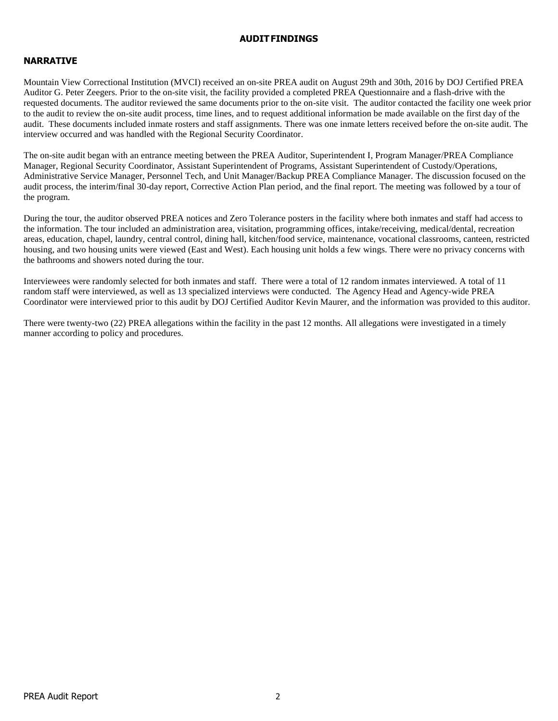### **AUDITFINDINGS**

# **NARRATIVE**

Mountain View Correctional Institution (MVCI) received an on-site PREA audit on August 29th and 30th, 2016 by DOJ Certified PREA Auditor G. Peter Zeegers. Prior to the on-site visit, the facility provided a completed PREA Questionnaire and a flash-drive with the requested documents. The auditor reviewed the same documents prior to the on-site visit. The auditor contacted the facility one week prior to the audit to review the on-site audit process, time lines, and to request additional information be made available on the first day of the audit. These documents included inmate rosters and staff assignments. There was one inmate letters received before the on-site audit. The interview occurred and was handled with the Regional Security Coordinator.

The on-site audit began with an entrance meeting between the PREA Auditor, Superintendent I, Program Manager/PREA Compliance Manager, Regional Security Coordinator, Assistant Superintendent of Programs, Assistant Superintendent of Custody/Operations, Administrative Service Manager, Personnel Tech, and Unit Manager/Backup PREA Compliance Manager. The discussion focused on the audit process, the interim/final 30-day report, Corrective Action Plan period, and the final report. The meeting was followed by a tour of the program.

During the tour, the auditor observed PREA notices and Zero Tolerance posters in the facility where both inmates and staff had access to the information. The tour included an administration area, visitation, programming offices, intake/receiving, medical/dental, recreation areas, education, chapel, laundry, central control, dining hall, kitchen/food service, maintenance, vocational classrooms, canteen, restricted housing, and two housing units were viewed (East and West). Each housing unit holds a few wings. There were no privacy concerns with the bathrooms and showers noted during the tour.

Interviewees were randomly selected for both inmates and staff. There were a total of 12 random inmates interviewed. A total of 11 random staff were interviewed, as well as 13 specialized interviews were conducted. The Agency Head and Agency-wide PREA Coordinator were interviewed prior to this audit by DOJ Certified Auditor Kevin Maurer, and the information was provided to this auditor.

There were twenty-two (22) PREA allegations within the facility in the past 12 months. All allegations were investigated in a timely manner according to policy and procedures.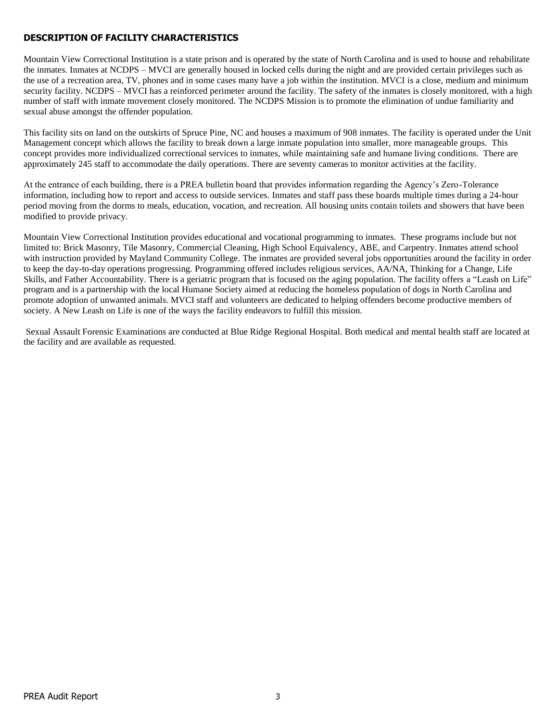# **DESCRIPTION OF FACILITY CHARACTERISTICS**

Mountain View Correctional Institution is a state prison and is operated by the state of North Carolina and is used to house and rehabilitate the inmates. Inmates at NCDPS – MVCI are generally housed in locked cells during the night and are provided certain privileges such as the use of a recreation area, TV, phones and in some cases many have a job within the institution. MVCI is a close, medium and minimum security facility. NCDPS – MVCI has a reinforced perimeter around the facility. The safety of the inmates is closely monitored, with a high number of staff with inmate movement closely monitored. The NCDPS Mission is to promote the elimination of undue familiarity and sexual abuse amongst the offender population.

This facility sits on land on the outskirts of Spruce Pine, NC and houses a maximum of 908 inmates. The facility is operated under the Unit Management concept which allows the facility to break down a large inmate population into smaller, more manageable groups. This concept provides more individualized correctional services to inmates, while maintaining safe and humane living conditions. There are approximately 245 staff to accommodate the daily operations. There are seventy cameras to monitor activities at the facility.

At the entrance of each building, there is a PREA bulletin board that provides information regarding the Agency's Zero-Tolerance information, including how to report and access to outside services. Inmates and staff pass these boards multiple times during a 24-hour period moving from the dorms to meals, education, vocation, and recreation. All housing units contain toilets and showers that have been modified to provide privacy.

Mountain View Correctional Institution provides educational and vocational programming to inmates. These programs include but not limited to: Brick Masonry, Tile Masonry, Commercial Cleaning, High School Equivalency, ABE, and Carpentry. Inmates attend school with instruction provided by Mayland Community College. The inmates are provided several jobs opportunities around the facility in order to keep the day-to-day operations progressing. Programming offered includes religious services, AA/NA, Thinking for a Change, Life Skills, and Father Accountability. There is a geriatric program that is focused on the aging population. The facility offers a "Leash on Life" program and is a partnership with the local Humane Society aimed at reducing the homeless population of dogs in North Carolina and promote adoption of unwanted animals. MVCI staff and volunteers are dedicated to helping offenders become productive members of society. A New Leash on Life is one of the ways the facility endeavors to fulfill this mission.

Sexual Assault Forensic Examinations are conducted at Blue Ridge Regional Hospital. Both medical and mental health staff are located at the facility and are available as requested.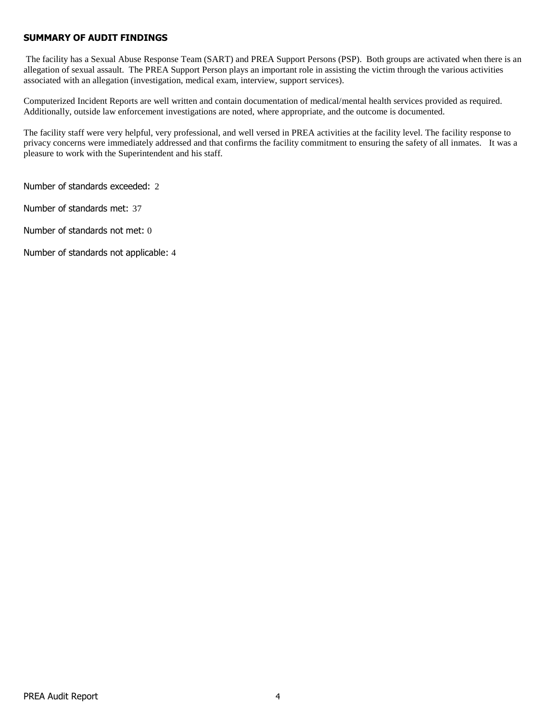### **SUMMARY OF AUDIT FINDINGS**

The facility has a Sexual Abuse Response Team (SART) and PREA Support Persons (PSP). Both groups are activated when there is an allegation of sexual assault. The PREA Support Person plays an important role in assisting the victim through the various activities associated with an allegation (investigation, medical exam, interview, support services).

Computerized Incident Reports are well written and contain documentation of medical/mental health services provided as required. Additionally, outside law enforcement investigations are noted, where appropriate, and the outcome is documented.

The facility staff were very helpful, very professional, and well versed in PREA activities at the facility level. The facility response to privacy concerns were immediately addressed and that confirms the facility commitment to ensuring the safety of all inmates. It was a pleasure to work with the Superintendent and his staff.

Number of standards exceeded: 2

Number of standards met: 37

Number of standards not met: 0

Number of standards not applicable: 4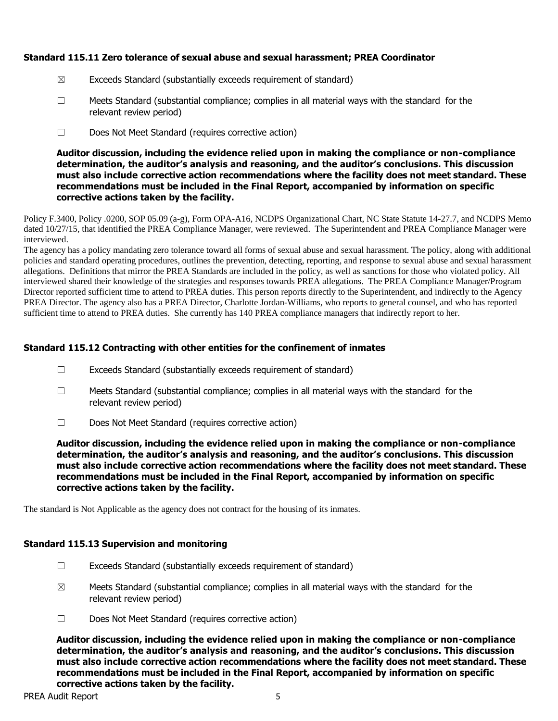# **Standard 115.11 Zero tolerance of sexual abuse and sexual harassment; PREA Coordinator**

- $\boxtimes$  Exceeds Standard (substantially exceeds requirement of standard)
- $\Box$  Meets Standard (substantial compliance; complies in all material ways with the standard for the relevant review period)
- ☐ Does Not Meet Standard (requires corrective action)

**Auditor discussion, including the evidence relied upon in making the compliance or non-compliance determination, the auditor's analysis and reasoning, and the auditor's conclusions. This discussion must also include corrective action recommendations where the facility does not meet standard. These recommendations must be included in the Final Report, accompanied by information on specific corrective actions taken by the facility.**

Policy F.3400, Policy .0200, SOP 05.09 (a-g), Form OPA-A16, NCDPS Organizational Chart, NC State Statute 14-27.7, and NCDPS Memo dated 10/27/15, that identified the PREA Compliance Manager, were reviewed. The Superintendent and PREA Compliance Manager were interviewed.

The agency has a policy mandating zero tolerance toward all forms of sexual abuse and sexual harassment. The policy, along with additional policies and standard operating procedures, outlines the prevention, detecting, reporting, and response to sexual abuse and sexual harassment allegations. Definitions that mirror the PREA Standards are included in the policy, as well as sanctions for those who violated policy. All interviewed shared their knowledge of the strategies and responses towards PREA allegations. The PREA Compliance Manager/Program Director reported sufficient time to attend to PREA duties. This person reports directly to the Superintendent, and indirectly to the Agency PREA Director. The agency also has a PREA Director, Charlotte Jordan-Williams, who reports to general counsel, and who has reported sufficient time to attend to PREA duties. She currently has 140 PREA compliance managers that indirectly report to her.

# **Standard 115.12 Contracting with other entities for the confinement of inmates**

- $\Box$  Exceeds Standard (substantially exceeds requirement of standard)
- ☐ Meets Standard (substantial compliance; complies in all material ways with the standard for the relevant review period)
- ☐ Does Not Meet Standard (requires corrective action)

**Auditor discussion, including the evidence relied upon in making the compliance or non-compliance determination, the auditor's analysis and reasoning, and the auditor's conclusions. This discussion must also include corrective action recommendations where the facility does not meet standard. These recommendations must be included in the Final Report, accompanied by information on specific corrective actions taken by the facility.**

The standard is Not Applicable as the agency does not contract for the housing of its inmates.

# **Standard 115.13 Supervision and monitoring**

- ☐ Exceeds Standard (substantially exceeds requirement of standard)
- $\boxtimes$  Meets Standard (substantial compliance; complies in all material ways with the standard for the relevant review period)
- ☐ Does Not Meet Standard (requires corrective action)

**Auditor discussion, including the evidence relied upon in making the compliance or non-compliance determination, the auditor's analysis and reasoning, and the auditor's conclusions. This discussion must also include corrective action recommendations where the facility does not meet standard. These recommendations must be included in the Final Report, accompanied by information on specific corrective actions taken by the facility.**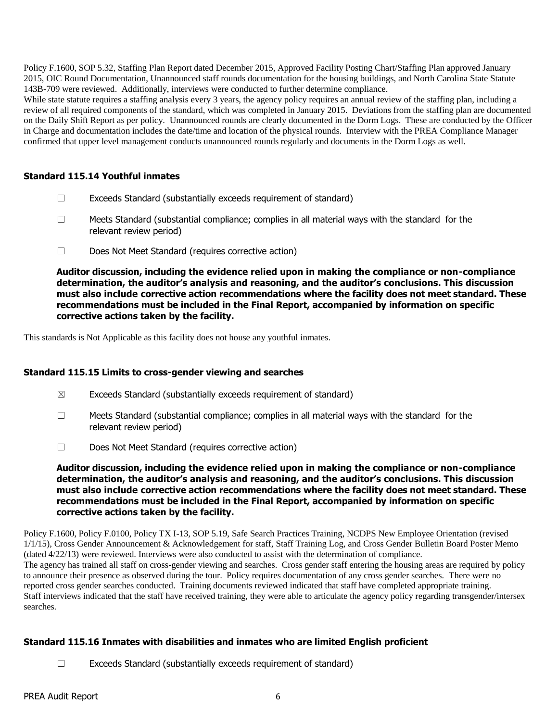Policy F.1600, SOP 5.32, Staffing Plan Report dated December 2015, Approved Facility Posting Chart/Staffing Plan approved January 2015, OIC Round Documentation, Unannounced staff rounds documentation for the housing buildings, and North Carolina State Statute 143B-709 were reviewed. Additionally, interviews were conducted to further determine compliance.

While state statute requires a staffing analysis every 3 years, the agency policy requires an annual review of the staffing plan, including a review of all required components of the standard, which was completed in January 2015. Deviations from the staffing plan are documented on the Daily Shift Report as per policy. Unannounced rounds are clearly documented in the Dorm Logs. These are conducted by the Officer in Charge and documentation includes the date/time and location of the physical rounds. Interview with the PREA Compliance Manager confirmed that upper level management conducts unannounced rounds regularly and documents in the Dorm Logs as well.

### **Standard 115.14 Youthful inmates**

- $\Box$  Exceeds Standard (substantially exceeds requirement of standard)
- $\Box$  Meets Standard (substantial compliance; complies in all material ways with the standard for the relevant review period)
- ☐ Does Not Meet Standard (requires corrective action)

**Auditor discussion, including the evidence relied upon in making the compliance or non-compliance determination, the auditor's analysis and reasoning, and the auditor's conclusions. This discussion must also include corrective action recommendations where the facility does not meet standard. These recommendations must be included in the Final Report, accompanied by information on specific corrective actions taken by the facility.**

This standards is Not Applicable as this facility does not house any youthful inmates.

#### **Standard 115.15 Limits to cross-gender viewing and searches**

- $\boxtimes$  Exceeds Standard (substantially exceeds requirement of standard)
- $\Box$  Meets Standard (substantial compliance; complies in all material ways with the standard for the relevant review period)
- ☐ Does Not Meet Standard (requires corrective action)

**Auditor discussion, including the evidence relied upon in making the compliance or non-compliance determination, the auditor's analysis and reasoning, and the auditor's conclusions. This discussion must also include corrective action recommendations where the facility does not meet standard. These recommendations must be included in the Final Report, accompanied by information on specific corrective actions taken by the facility.**

Policy F.1600, Policy F.0100, Policy TX I-13, SOP 5.19, Safe Search Practices Training, NCDPS New Employee Orientation (revised 1/1/15), Cross Gender Announcement & Acknowledgement for staff, Staff Training Log, and Cross Gender Bulletin Board Poster Memo (dated 4/22/13) were reviewed. Interviews were also conducted to assist with the determination of compliance. The agency has trained all staff on cross-gender viewing and searches. Cross gender staff entering the housing areas are required by policy to announce their presence as observed during the tour. Policy requires documentation of any cross gender searches. There were no reported cross gender searches conducted. Training documents reviewed indicated that staff have completed appropriate training. Staff interviews indicated that the staff have received training, they were able to articulate the agency policy regarding transgender/intersex searches.

# **Standard 115.16 Inmates with disabilities and inmates who are limited English proficient**

 $\Box$  Exceeds Standard (substantially exceeds requirement of standard)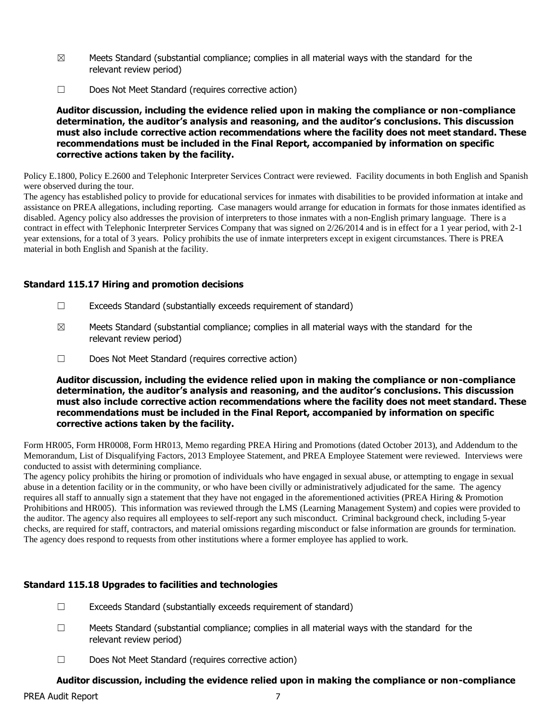- $\boxtimes$  Meets Standard (substantial compliance; complies in all material ways with the standard for the relevant review period)
- ☐ Does Not Meet Standard (requires corrective action)

Policy E.1800, Policy E.2600 and Telephonic Interpreter Services Contract were reviewed. Facility documents in both English and Spanish were observed during the tour.

The agency has established policy to provide for educational services for inmates with disabilities to be provided information at intake and assistance on PREA allegations, including reporting. Case managers would arrange for education in formats for those inmates identified as disabled. Agency policy also addresses the provision of interpreters to those inmates with a non-English primary language. There is a contract in effect with Telephonic Interpreter Services Company that was signed on 2/26/2014 and is in effect for a 1 year period, with 2-1 year extensions, for a total of 3 years. Policy prohibits the use of inmate interpreters except in exigent circumstances. There is PREA material in both English and Spanish at the facility.

# **Standard 115.17 Hiring and promotion decisions**

- ☐ Exceeds Standard (substantially exceeds requirement of standard)
- $\boxtimes$  Meets Standard (substantial compliance; complies in all material ways with the standard for the relevant review period)
- ☐ Does Not Meet Standard (requires corrective action)

**Auditor discussion, including the evidence relied upon in making the compliance or non-compliance determination, the auditor's analysis and reasoning, and the auditor's conclusions. This discussion must also include corrective action recommendations where the facility does not meet standard. These recommendations must be included in the Final Report, accompanied by information on specific corrective actions taken by the facility.**

Form HR005, Form HR0008, Form HR013, Memo regarding PREA Hiring and Promotions (dated October 2013), and Addendum to the Memorandum, List of Disqualifying Factors, 2013 Employee Statement, and PREA Employee Statement were reviewed. Interviews were conducted to assist with determining compliance.

The agency policy prohibits the hiring or promotion of individuals who have engaged in sexual abuse, or attempting to engage in sexual abuse in a detention facility or in the community, or who have been civilly or administratively adjudicated for the same. The agency requires all staff to annually sign a statement that they have not engaged in the aforementioned activities (PREA Hiring & Promotion Prohibitions and HR005). This information was reviewed through the LMS (Learning Management System) and copies were provided to the auditor. The agency also requires all employees to self-report any such misconduct. Criminal background check, including 5-year checks, are required for staff, contractors, and material omissions regarding misconduct or false information are grounds for termination. The agency does respond to requests from other institutions where a former employee has applied to work.

# **Standard 115.18 Upgrades to facilities and technologies**

- $\Box$  Exceeds Standard (substantially exceeds requirement of standard)
- $\Box$  Meets Standard (substantial compliance; complies in all material ways with the standard for the relevant review period)
- ☐ Does Not Meet Standard (requires corrective action)

# **Auditor discussion, including the evidence relied upon in making the compliance or non-compliance**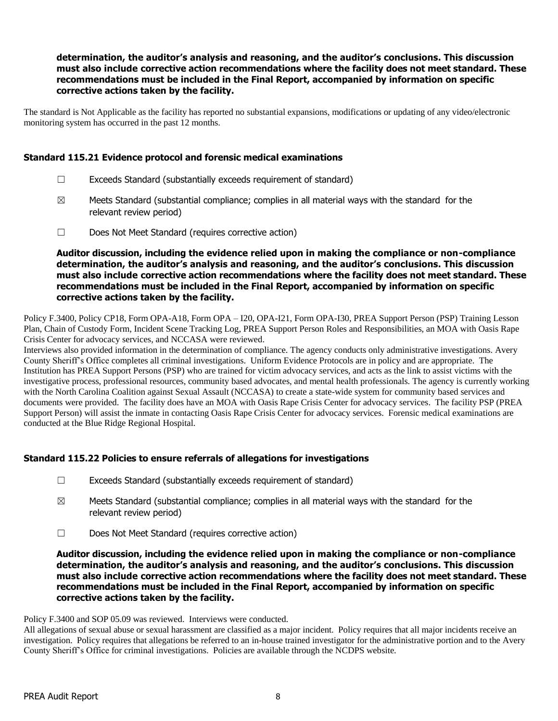**determination, the auditor's analysis and reasoning, and the auditor's conclusions. This discussion must also include corrective action recommendations where the facility does not meet standard. These recommendations must be included in the Final Report, accompanied by information on specific corrective actions taken by the facility.**

The standard is Not Applicable as the facility has reported no substantial expansions, modifications or updating of any video/electronic monitoring system has occurred in the past 12 months.

### **Standard 115.21 Evidence protocol and forensic medical examinations**

- $\Box$  Exceeds Standard (substantially exceeds requirement of standard)
- $\boxtimes$  Meets Standard (substantial compliance; complies in all material ways with the standard for the relevant review period)
- ☐ Does Not Meet Standard (requires corrective action)

**Auditor discussion, including the evidence relied upon in making the compliance or non-compliance determination, the auditor's analysis and reasoning, and the auditor's conclusions. This discussion must also include corrective action recommendations where the facility does not meet standard. These recommendations must be included in the Final Report, accompanied by information on specific corrective actions taken by the facility.**

Policy F.3400, Policy CP18, Form OPA-A18, Form OPA – I20, OPA-I21, Form OPA-I30, PREA Support Person (PSP) Training Lesson Plan, Chain of Custody Form, Incident Scene Tracking Log, PREA Support Person Roles and Responsibilities, an MOA with Oasis Rape Crisis Center for advocacy services, and NCCASA were reviewed.

Interviews also provided information in the determination of compliance. The agency conducts only administrative investigations. Avery County Sheriff's Office completes all criminal investigations. Uniform Evidence Protocols are in policy and are appropriate. The Institution has PREA Support Persons (PSP) who are trained for victim advocacy services, and acts as the link to assist victims with the investigative process, professional resources, community based advocates, and mental health professionals. The agency is currently working with the North Carolina Coalition against Sexual Assault (NCCASA) to create a state-wide system for community based services and documents were provided. The facility does have an MOA with Oasis Rape Crisis Center for advocacy services. The facility PSP (PREA Support Person) will assist the inmate in contacting Oasis Rape Crisis Center for advocacy services. Forensic medical examinations are conducted at the Blue Ridge Regional Hospital.

# **Standard 115.22 Policies to ensure referrals of allegations for investigations**

- ☐ Exceeds Standard (substantially exceeds requirement of standard)
- $\boxtimes$  Meets Standard (substantial compliance; complies in all material ways with the standard for the relevant review period)
- ☐ Does Not Meet Standard (requires corrective action)

**Auditor discussion, including the evidence relied upon in making the compliance or non-compliance determination, the auditor's analysis and reasoning, and the auditor's conclusions. This discussion must also include corrective action recommendations where the facility does not meet standard. These recommendations must be included in the Final Report, accompanied by information on specific corrective actions taken by the facility.**

Policy F.3400 and SOP 05.09 was reviewed. Interviews were conducted.

All allegations of sexual abuse or sexual harassment are classified as a major incident. Policy requires that all major incidents receive an investigation. Policy requires that allegations be referred to an in-house trained investigator for the administrative portion and to the Avery County Sheriff's Office for criminal investigations. Policies are available through the NCDPS website.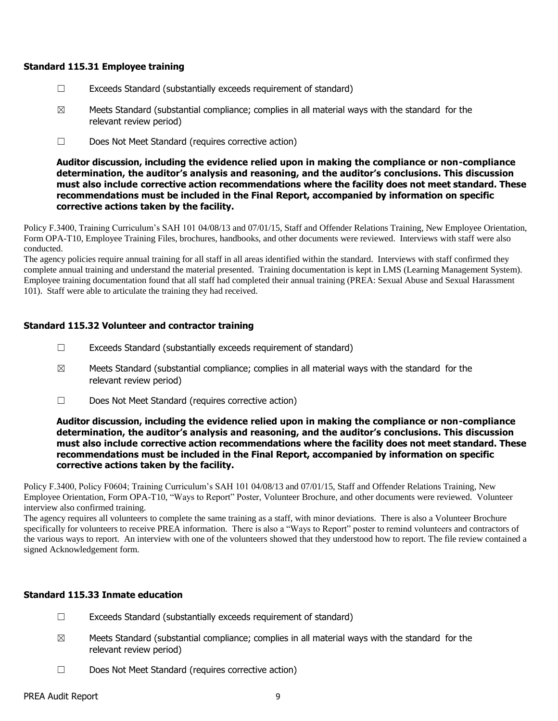### **Standard 115.31 Employee training**

- $\Box$  Exceeds Standard (substantially exceeds requirement of standard)
- $\boxtimes$  Meets Standard (substantial compliance; complies in all material ways with the standard for the relevant review period)
- ☐ Does Not Meet Standard (requires corrective action)

**Auditor discussion, including the evidence relied upon in making the compliance or non-compliance determination, the auditor's analysis and reasoning, and the auditor's conclusions. This discussion must also include corrective action recommendations where the facility does not meet standard. These recommendations must be included in the Final Report, accompanied by information on specific corrective actions taken by the facility.**

Policy F.3400, Training Curriculum's SAH 101 04/08/13 and 07/01/15, Staff and Offender Relations Training, New Employee Orientation, Form OPA-T10, Employee Training Files, brochures, handbooks, and other documents were reviewed. Interviews with staff were also conducted.

The agency policies require annual training for all staff in all areas identified within the standard. Interviews with staff confirmed they complete annual training and understand the material presented. Training documentation is kept in LMS (Learning Management System). Employee training documentation found that all staff had completed their annual training (PREA: Sexual Abuse and Sexual Harassment 101). Staff were able to articulate the training they had received.

# **Standard 115.32 Volunteer and contractor training**

- $\Box$  Exceeds Standard (substantially exceeds requirement of standard)
- $\boxtimes$  Meets Standard (substantial compliance; complies in all material ways with the standard for the relevant review period)
- ☐ Does Not Meet Standard (requires corrective action)

### **Auditor discussion, including the evidence relied upon in making the compliance or non-compliance determination, the auditor's analysis and reasoning, and the auditor's conclusions. This discussion must also include corrective action recommendations where the facility does not meet standard. These recommendations must be included in the Final Report, accompanied by information on specific corrective actions taken by the facility.**

Policy F.3400, Policy F0604; Training Curriculum's SAH 101 04/08/13 and 07/01/15, Staff and Offender Relations Training, New Employee Orientation, Form OPA-T10, "Ways to Report" Poster, Volunteer Brochure, and other documents were reviewed. Volunteer interview also confirmed training.

The agency requires all volunteers to complete the same training as a staff, with minor deviations. There is also a Volunteer Brochure specifically for volunteers to receive PREA information. There is also a "Ways to Report" poster to remind volunteers and contractors of the various ways to report. An interview with one of the volunteers showed that they understood how to report. The file review contained a signed Acknowledgement form.

#### **Standard 115.33 Inmate education**

- $\Box$  Exceeds Standard (substantially exceeds requirement of standard)
- $\boxtimes$  Meets Standard (substantial compliance; complies in all material ways with the standard for the relevant review period)
- ☐ Does Not Meet Standard (requires corrective action)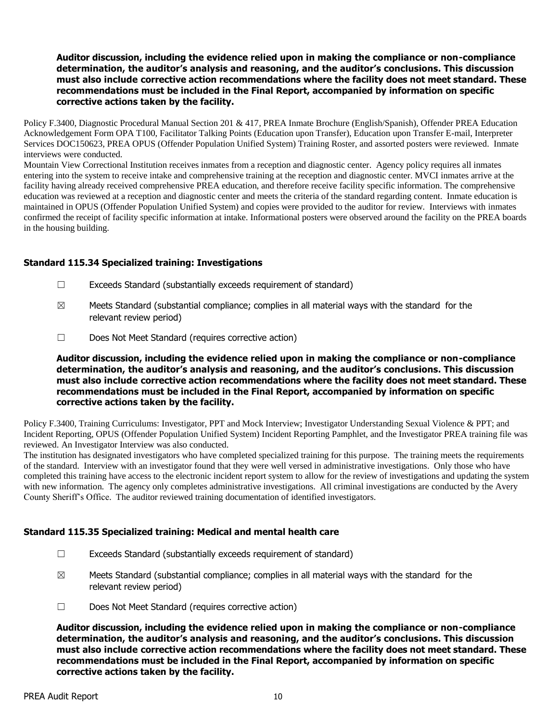Policy F.3400, Diagnostic Procedural Manual Section 201 & 417, PREA Inmate Brochure (English/Spanish), Offender PREA Education Acknowledgement Form OPA T100, Facilitator Talking Points (Education upon Transfer), Education upon Transfer E-mail, Interpreter Services DOC150623, PREA OPUS (Offender Population Unified System) Training Roster, and assorted posters were reviewed. Inmate interviews were conducted.

Mountain View Correctional Institution receives inmates from a reception and diagnostic center. Agency policy requires all inmates entering into the system to receive intake and comprehensive training at the reception and diagnostic center. MVCI inmates arrive at the facility having already received comprehensive PREA education, and therefore receive facility specific information. The comprehensive education was reviewed at a reception and diagnostic center and meets the criteria of the standard regarding content. Inmate education is maintained in OPUS (Offender Population Unified System) and copies were provided to the auditor for review. Interviews with inmates confirmed the receipt of facility specific information at intake. Informational posters were observed around the facility on the PREA boards in the housing building.

# **Standard 115.34 Specialized training: Investigations**

- ☐ Exceeds Standard (substantially exceeds requirement of standard)
- $\boxtimes$  Meets Standard (substantial compliance; complies in all material ways with the standard for the relevant review period)
- ☐ Does Not Meet Standard (requires corrective action)

### **Auditor discussion, including the evidence relied upon in making the compliance or non-compliance determination, the auditor's analysis and reasoning, and the auditor's conclusions. This discussion must also include corrective action recommendations where the facility does not meet standard. These recommendations must be included in the Final Report, accompanied by information on specific corrective actions taken by the facility.**

Policy F.3400, Training Curriculums: Investigator, PPT and Mock Interview; Investigator Understanding Sexual Violence & PPT; and Incident Reporting, OPUS (Offender Population Unified System) Incident Reporting Pamphlet, and the Investigator PREA training file was reviewed. An Investigator Interview was also conducted.

The institution has designated investigators who have completed specialized training for this purpose. The training meets the requirements of the standard. Interview with an investigator found that they were well versed in administrative investigations. Only those who have completed this training have access to the electronic incident report system to allow for the review of investigations and updating the system with new information. The agency only completes administrative investigations. All criminal investigations are conducted by the Avery County Sheriff's Office. The auditor reviewed training documentation of identified investigators.

# **Standard 115.35 Specialized training: Medical and mental health care**

- $\Box$  Exceeds Standard (substantially exceeds requirement of standard)
- $\boxtimes$  Meets Standard (substantial compliance; complies in all material ways with the standard for the relevant review period)
- ☐ Does Not Meet Standard (requires corrective action)

**Auditor discussion, including the evidence relied upon in making the compliance or non-compliance determination, the auditor's analysis and reasoning, and the auditor's conclusions. This discussion must also include corrective action recommendations where the facility does not meet standard. These recommendations must be included in the Final Report, accompanied by information on specific corrective actions taken by the facility.**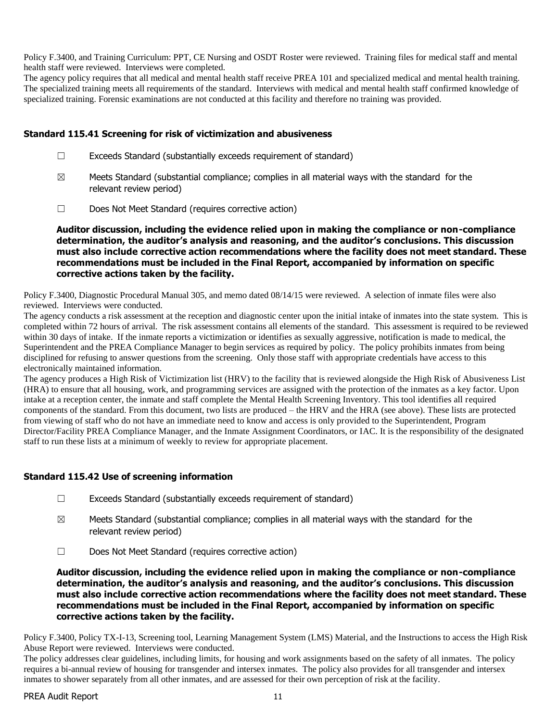Policy F.3400, and Training Curriculum: PPT, CE Nursing and OSDT Roster were reviewed. Training files for medical staff and mental health staff were reviewed. Interviews were completed.

The agency policy requires that all medical and mental health staff receive PREA 101 and specialized medical and mental health training. The specialized training meets all requirements of the standard. Interviews with medical and mental health staff confirmed knowledge of specialized training. Forensic examinations are not conducted at this facility and therefore no training was provided.

# **Standard 115.41 Screening for risk of victimization and abusiveness**

- ☐ Exceeds Standard (substantially exceeds requirement of standard)
- $\boxtimes$  Meets Standard (substantial compliance; complies in all material ways with the standard for the relevant review period)
- ☐ Does Not Meet Standard (requires corrective action)

**Auditor discussion, including the evidence relied upon in making the compliance or non-compliance determination, the auditor's analysis and reasoning, and the auditor's conclusions. This discussion must also include corrective action recommendations where the facility does not meet standard. These recommendations must be included in the Final Report, accompanied by information on specific corrective actions taken by the facility.**

Policy F.3400, Diagnostic Procedural Manual 305, and memo dated 08/14/15 were reviewed. A selection of inmate files were also reviewed. Interviews were conducted.

The agency conducts a risk assessment at the reception and diagnostic center upon the initial intake of inmates into the state system. This is completed within 72 hours of arrival. The risk assessment contains all elements of the standard. This assessment is required to be reviewed within 30 days of intake. If the inmate reports a victimization or identifies as sexually aggressive, notification is made to medical, the Superintendent and the PREA Compliance Manager to begin services as required by policy. The policy prohibits inmates from being disciplined for refusing to answer questions from the screening. Only those staff with appropriate credentials have access to this electronically maintained information.

The agency produces a High Risk of Victimization list (HRV) to the facility that is reviewed alongside the High Risk of Abusiveness List (HRA) to ensure that all housing, work, and programming services are assigned with the protection of the inmates as a key factor. Upon intake at a reception center, the inmate and staff complete the Mental Health Screening Inventory. This tool identifies all required components of the standard. From this document, two lists are produced – the HRV and the HRA (see above). These lists are protected from viewing of staff who do not have an immediate need to know and access is only provided to the Superintendent, Program Director/Facility PREA Compliance Manager, and the Inmate Assignment Coordinators, or IAC. It is the responsibility of the designated staff to run these lists at a minimum of weekly to review for appropriate placement.

# **Standard 115.42 Use of screening information**

- $\Box$  Exceeds Standard (substantially exceeds requirement of standard)
- $\boxtimes$  Meets Standard (substantial compliance; complies in all material ways with the standard for the relevant review period)
- ☐ Does Not Meet Standard (requires corrective action)

**Auditor discussion, including the evidence relied upon in making the compliance or non-compliance determination, the auditor's analysis and reasoning, and the auditor's conclusions. This discussion must also include corrective action recommendations where the facility does not meet standard. These recommendations must be included in the Final Report, accompanied by information on specific corrective actions taken by the facility.**

Policy F.3400, Policy TX-I-13, Screening tool, Learning Management System (LMS) Material, and the Instructions to access the High Risk Abuse Report were reviewed. Interviews were conducted.

The policy addresses clear guidelines, including limits, for housing and work assignments based on the safety of all inmates. The policy requires a bi-annual review of housing for transgender and intersex inmates. The policy also provides for all transgender and intersex inmates to shower separately from all other inmates, and are assessed for their own perception of risk at the facility.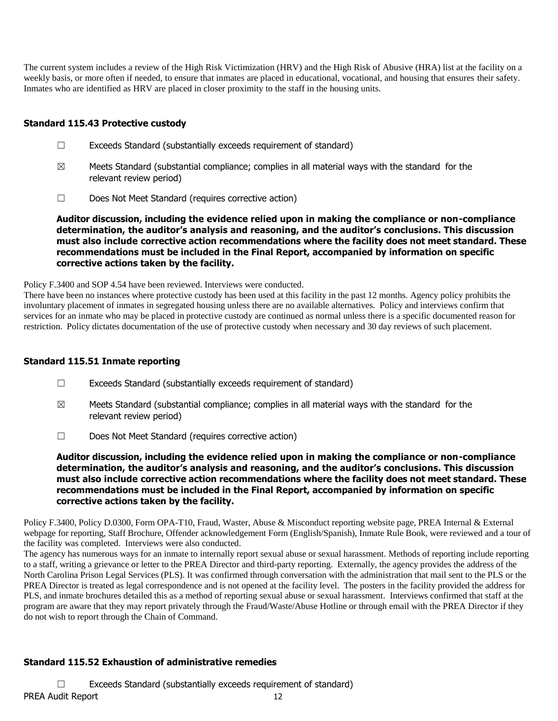The current system includes a review of the High Risk Victimization (HRV) and the High Risk of Abusive (HRA) list at the facility on a weekly basis, or more often if needed, to ensure that inmates are placed in educational, vocational, and housing that ensures their safety. Inmates who are identified as HRV are placed in closer proximity to the staff in the housing units.

# **Standard 115.43 Protective custody**

- ☐ Exceeds Standard (substantially exceeds requirement of standard)
- $\boxtimes$  Meets Standard (substantial compliance; complies in all material ways with the standard for the relevant review period)
- ☐ Does Not Meet Standard (requires corrective action)

**Auditor discussion, including the evidence relied upon in making the compliance or non-compliance determination, the auditor's analysis and reasoning, and the auditor's conclusions. This discussion must also include corrective action recommendations where the facility does not meet standard. These recommendations must be included in the Final Report, accompanied by information on specific corrective actions taken by the facility.**

Policy F.3400 and SOP 4.54 have been reviewed. Interviews were conducted.

There have been no instances where protective custody has been used at this facility in the past 12 months. Agency policy prohibits the involuntary placement of inmates in segregated housing unless there are no available alternatives. Policy and interviews confirm that services for an inmate who may be placed in protective custody are continued as normal unless there is a specific documented reason for restriction. Policy dictates documentation of the use of protective custody when necessary and 30 day reviews of such placement.

### **Standard 115.51 Inmate reporting**

- ☐ Exceeds Standard (substantially exceeds requirement of standard)
- $\boxtimes$  Meets Standard (substantial compliance; complies in all material ways with the standard for the relevant review period)
- ☐ Does Not Meet Standard (requires corrective action)

**Auditor discussion, including the evidence relied upon in making the compliance or non-compliance determination, the auditor's analysis and reasoning, and the auditor's conclusions. This discussion must also include corrective action recommendations where the facility does not meet standard. These recommendations must be included in the Final Report, accompanied by information on specific corrective actions taken by the facility.**

Policy F.3400, Policy D.0300, Form OPA-T10, Fraud, Waster, Abuse & Misconduct reporting website page, PREA Internal & External webpage for reporting, Staff Brochure, Offender acknowledgement Form (English/Spanish), Inmate Rule Book, were reviewed and a tour of the facility was completed. Interviews were also conducted.

The agency has numerous ways for an inmate to internally report sexual abuse or sexual harassment. Methods of reporting include reporting to a staff, writing a grievance or letter to the PREA Director and third-party reporting. Externally, the agency provides the address of the North Carolina Prison Legal Services (PLS). It was confirmed through conversation with the administration that mail sent to the PLS or the PREA Director is treated as legal correspondence and is not opened at the facility level. The posters in the facility provided the address for PLS, and inmate brochures detailed this as a method of reporting sexual abuse or sexual harassment. Interviews confirmed that staff at the program are aware that they may report privately through the Fraud/Waste/Abuse Hotline or through email with the PREA Director if they do not wish to report through the Chain of Command.

# **Standard 115.52 Exhaustion of administrative remedies**

PREA Audit Report 12 ☐ Exceeds Standard (substantially exceeds requirement of standard)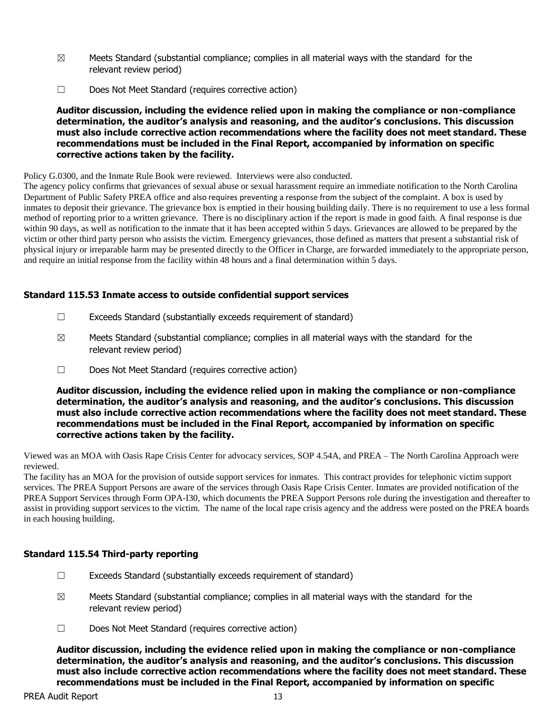- $\boxtimes$  Meets Standard (substantial compliance; complies in all material ways with the standard for the relevant review period)
- ☐ Does Not Meet Standard (requires corrective action)

#### Policy G.0300, and the Inmate Rule Book were reviewed. Interviews were also conducted.

The agency policy confirms that grievances of sexual abuse or sexual harassment require an immediate notification to the North Carolina Department of Public Safety PREA office and also requires preventing a response from the subject of the complaint. A box is used by inmates to deposit their grievance. The grievance box is emptied in their housing building daily. There is no requirement to use a less formal method of reporting prior to a written grievance. There is no disciplinary action if the report is made in good faith. A final response is due within 90 days, as well as notification to the inmate that it has been accepted within 5 days. Grievances are allowed to be prepared by the victim or other third party person who assists the victim. Emergency grievances, those defined as matters that present a substantial risk of physical injury or irreparable harm may be presented directly to the Officer in Charge, are forwarded immediately to the appropriate person, and require an initial response from the facility within 48 hours and a final determination within 5 days.

# **Standard 115.53 Inmate access to outside confidential support services**

- ☐ Exceeds Standard (substantially exceeds requirement of standard)
- $\boxtimes$  Meets Standard (substantial compliance; complies in all material ways with the standard for the relevant review period)
- ☐ Does Not Meet Standard (requires corrective action)

**Auditor discussion, including the evidence relied upon in making the compliance or non-compliance determination, the auditor's analysis and reasoning, and the auditor's conclusions. This discussion must also include corrective action recommendations where the facility does not meet standard. These recommendations must be included in the Final Report, accompanied by information on specific corrective actions taken by the facility.**

Viewed was an MOA with Oasis Rape Crisis Center for advocacy services, SOP 4.54A, and PREA – The North Carolina Approach were reviewed.

The facility has an MOA for the provision of outside support services for inmates. This contract provides for telephonic victim support services. The PREA Support Persons are aware of the services through Oasis Rape Crisis Center. Inmates are provided notification of the PREA Support Services through Form OPA-I30, which documents the PREA Support Persons role during the investigation and thereafter to assist in providing support services to the victim. The name of the local rape crisis agency and the address were posted on the PREA boards in each housing building.

# **Standard 115.54 Third-party reporting**

- ☐ Exceeds Standard (substantially exceeds requirement of standard)
- $\boxtimes$  Meets Standard (substantial compliance; complies in all material ways with the standard for the relevant review period)
- ☐ Does Not Meet Standard (requires corrective action)

**Auditor discussion, including the evidence relied upon in making the compliance or non-compliance determination, the auditor's analysis and reasoning, and the auditor's conclusions. This discussion must also include corrective action recommendations where the facility does not meet standard. These recommendations must be included in the Final Report, accompanied by information on specific**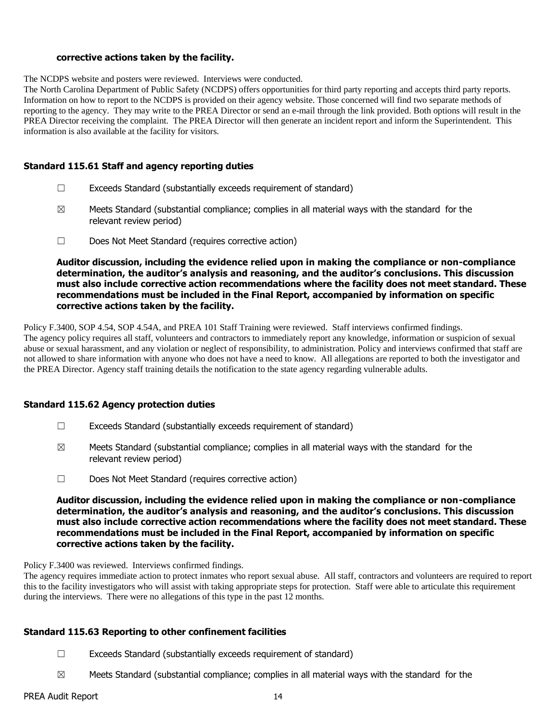#### **corrective actions taken by the facility.**

The NCDPS website and posters were reviewed. Interviews were conducted.

The North Carolina Department of Public Safety (NCDPS) offers opportunities for third party reporting and accepts third party reports. Information on how to report to the NCDPS is provided on their agency website. Those concerned will find two separate methods of reporting to the agency. They may write to the PREA Director or send an e-mail through the link provided. Both options will result in the PREA Director receiving the complaint. The PREA Director will then generate an incident report and inform the Superintendent. This information is also available at the facility for visitors.

### **Standard 115.61 Staff and agency reporting duties**

- $\Box$  Exceeds Standard (substantially exceeds requirement of standard)
- $\boxtimes$  Meets Standard (substantial compliance; complies in all material ways with the standard for the relevant review period)
- ☐ Does Not Meet Standard (requires corrective action)

**Auditor discussion, including the evidence relied upon in making the compliance or non-compliance determination, the auditor's analysis and reasoning, and the auditor's conclusions. This discussion must also include corrective action recommendations where the facility does not meet standard. These recommendations must be included in the Final Report, accompanied by information on specific corrective actions taken by the facility.**

Policy F.3400, SOP 4.54, SOP 4.54A, and PREA 101 Staff Training were reviewed. Staff interviews confirmed findings. The agency policy requires all staff, volunteers and contractors to immediately report any knowledge, information or suspicion of sexual abuse or sexual harassment, and any violation or neglect of responsibility, to administration. Policy and interviews confirmed that staff are not allowed to share information with anyone who does not have a need to know. All allegations are reported to both the investigator and the PREA Director. Agency staff training details the notification to the state agency regarding vulnerable adults.

# **Standard 115.62 Agency protection duties**

- ☐ Exceeds Standard (substantially exceeds requirement of standard)
- $\boxtimes$  Meets Standard (substantial compliance; complies in all material ways with the standard for the relevant review period)
- ☐ Does Not Meet Standard (requires corrective action)

**Auditor discussion, including the evidence relied upon in making the compliance or non-compliance determination, the auditor's analysis and reasoning, and the auditor's conclusions. This discussion must also include corrective action recommendations where the facility does not meet standard. These recommendations must be included in the Final Report, accompanied by information on specific corrective actions taken by the facility.**

#### Policy F.3400 was reviewed. Interviews confirmed findings.

The agency requires immediate action to protect inmates who report sexual abuse. All staff, contractors and volunteers are required to report this to the facility investigators who will assist with taking appropriate steps for protection. Staff were able to articulate this requirement during the interviews. There were no allegations of this type in the past 12 months.

# **Standard 115.63 Reporting to other confinement facilities**

- $\Box$  Exceeds Standard (substantially exceeds requirement of standard)
- $\boxtimes$  Meets Standard (substantial compliance; complies in all material ways with the standard for the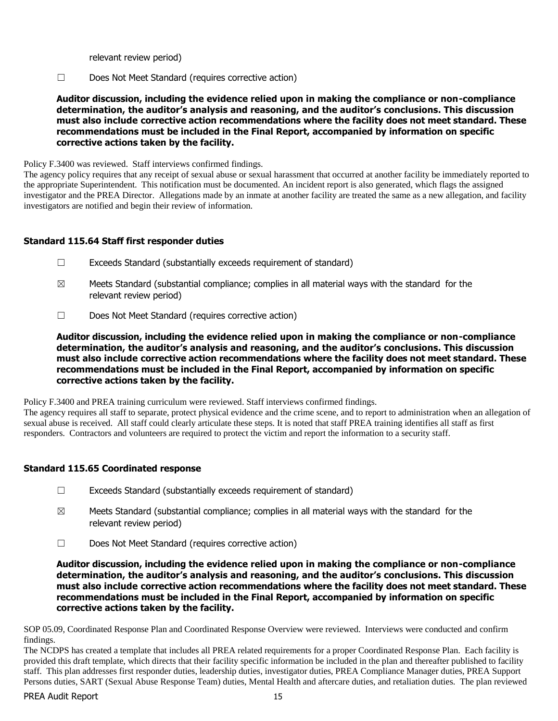relevant review period)

☐ Does Not Meet Standard (requires corrective action)

**Auditor discussion, including the evidence relied upon in making the compliance or non-compliance determination, the auditor's analysis and reasoning, and the auditor's conclusions. This discussion must also include corrective action recommendations where the facility does not meet standard. These recommendations must be included in the Final Report, accompanied by information on specific corrective actions taken by the facility.**

Policy F.3400 was reviewed. Staff interviews confirmed findings.

The agency policy requires that any receipt of sexual abuse or sexual harassment that occurred at another facility be immediately reported to the appropriate Superintendent. This notification must be documented. An incident report is also generated, which flags the assigned investigator and the PREA Director. Allegations made by an inmate at another facility are treated the same as a new allegation, and facility investigators are notified and begin their review of information.

# **Standard 115.64 Staff first responder duties**

- $\Box$  Exceeds Standard (substantially exceeds requirement of standard)
- $\boxtimes$  Meets Standard (substantial compliance; complies in all material ways with the standard for the relevant review period)
- ☐ Does Not Meet Standard (requires corrective action)

**Auditor discussion, including the evidence relied upon in making the compliance or non-compliance determination, the auditor's analysis and reasoning, and the auditor's conclusions. This discussion must also include corrective action recommendations where the facility does not meet standard. These recommendations must be included in the Final Report, accompanied by information on specific corrective actions taken by the facility.**

Policy F.3400 and PREA training curriculum were reviewed. Staff interviews confirmed findings.

The agency requires all staff to separate, protect physical evidence and the crime scene, and to report to administration when an allegation of sexual abuse is received. All staff could clearly articulate these steps. It is noted that staff PREA training identifies all staff as first responders. Contractors and volunteers are required to protect the victim and report the information to a security staff.

# **Standard 115.65 Coordinated response**

- $\Box$  Exceeds Standard (substantially exceeds requirement of standard)
- $\boxtimes$  Meets Standard (substantial compliance; complies in all material ways with the standard for the relevant review period)
- ☐ Does Not Meet Standard (requires corrective action)

**Auditor discussion, including the evidence relied upon in making the compliance or non-compliance determination, the auditor's analysis and reasoning, and the auditor's conclusions. This discussion must also include corrective action recommendations where the facility does not meet standard. These recommendations must be included in the Final Report, accompanied by information on specific corrective actions taken by the facility.**

SOP 05.09, Coordinated Response Plan and Coordinated Response Overview were reviewed. Interviews were conducted and confirm findings.

The NCDPS has created a template that includes all PREA related requirements for a proper Coordinated Response Plan. Each facility is provided this draft template, which directs that their facility specific information be included in the plan and thereafter published to facility staff. This plan addresses first responder duties, leadership duties, investigator duties, PREA Compliance Manager duties, PREA Support Persons duties, SART (Sexual Abuse Response Team) duties, Mental Health and aftercare duties, and retaliation duties. The plan reviewed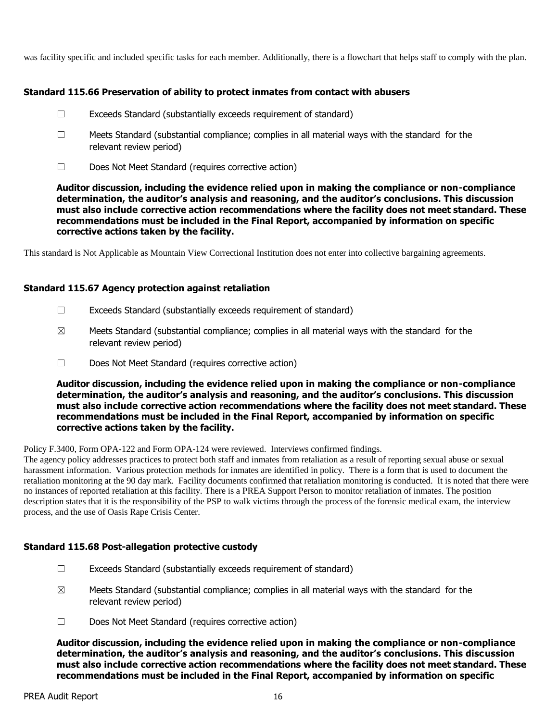was facility specific and included specific tasks for each member. Additionally, there is a flowchart that helps staff to comply with the plan.

### **Standard 115.66 Preservation of ability to protect inmates from contact with abusers**

- $\Box$  Exceeds Standard (substantially exceeds requirement of standard)
- ☐ Meets Standard (substantial compliance; complies in all material ways with the standard for the relevant review period)
- ☐ Does Not Meet Standard (requires corrective action)

**Auditor discussion, including the evidence relied upon in making the compliance or non-compliance determination, the auditor's analysis and reasoning, and the auditor's conclusions. This discussion must also include corrective action recommendations where the facility does not meet standard. These recommendations must be included in the Final Report, accompanied by information on specific corrective actions taken by the facility.**

This standard is Not Applicable as Mountain View Correctional Institution does not enter into collective bargaining agreements.

### **Standard 115.67 Agency protection against retaliation**

- ☐ Exceeds Standard (substantially exceeds requirement of standard)
- $\boxtimes$  Meets Standard (substantial compliance; complies in all material ways with the standard for the relevant review period)
- ☐ Does Not Meet Standard (requires corrective action)

**Auditor discussion, including the evidence relied upon in making the compliance or non-compliance determination, the auditor's analysis and reasoning, and the auditor's conclusions. This discussion must also include corrective action recommendations where the facility does not meet standard. These recommendations must be included in the Final Report, accompanied by information on specific corrective actions taken by the facility.**

Policy F.3400, Form OPA-122 and Form OPA-124 were reviewed. Interviews confirmed findings.

The agency policy addresses practices to protect both staff and inmates from retaliation as a result of reporting sexual abuse or sexual harassment information. Various protection methods for inmates are identified in policy. There is a form that is used to document the retaliation monitoring at the 90 day mark. Facility documents confirmed that retaliation monitoring is conducted. It is noted that there were no instances of reported retaliation at this facility. There is a PREA Support Person to monitor retaliation of inmates. The position description states that it is the responsibility of the PSP to walk victims through the process of the forensic medical exam, the interview process, and the use of Oasis Rape Crisis Center.

#### **Standard 115.68 Post-allegation protective custody**

- $\Box$  Exceeds Standard (substantially exceeds requirement of standard)
- $\boxtimes$  Meets Standard (substantial compliance; complies in all material ways with the standard for the relevant review period)
- ☐ Does Not Meet Standard (requires corrective action)

**Auditor discussion, including the evidence relied upon in making the compliance or non-compliance determination, the auditor's analysis and reasoning, and the auditor's conclusions. This discussion must also include corrective action recommendations where the facility does not meet standard. These recommendations must be included in the Final Report, accompanied by information on specific**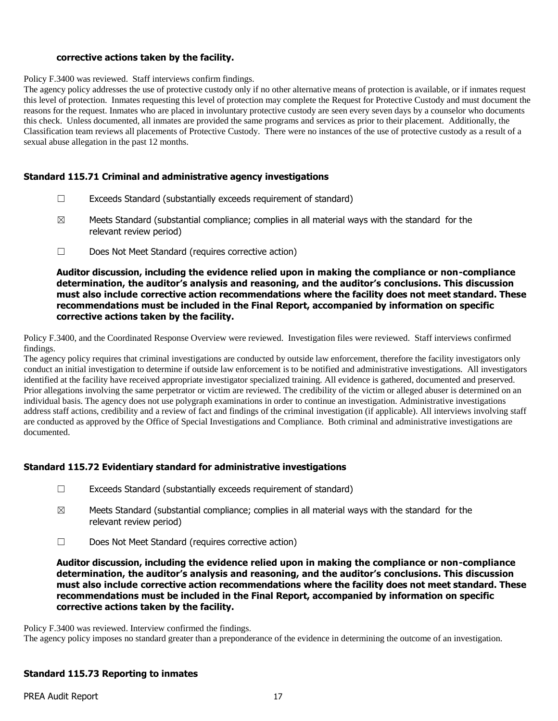### **corrective actions taken by the facility.**

Policy F.3400 was reviewed. Staff interviews confirm findings.

The agency policy addresses the use of protective custody only if no other alternative means of protection is available, or if inmates request this level of protection. Inmates requesting this level of protection may complete the Request for Protective Custody and must document the reasons for the request. Inmates who are placed in involuntary protective custody are seen every seven days by a counselor who documents this check. Unless documented, all inmates are provided the same programs and services as prior to their placement. Additionally, the Classification team reviews all placements of Protective Custody. There were no instances of the use of protective custody as a result of a sexual abuse allegation in the past 12 months.

### **Standard 115.71 Criminal and administrative agency investigations**

- $\Box$  Exceeds Standard (substantially exceeds requirement of standard)
- $\boxtimes$  Meets Standard (substantial compliance; complies in all material ways with the standard for the relevant review period)
- ☐ Does Not Meet Standard (requires corrective action)

**Auditor discussion, including the evidence relied upon in making the compliance or non-compliance determination, the auditor's analysis and reasoning, and the auditor's conclusions. This discussion must also include corrective action recommendations where the facility does not meet standard. These recommendations must be included in the Final Report, accompanied by information on specific corrective actions taken by the facility.**

Policy F.3400, and the Coordinated Response Overview were reviewed. Investigation files were reviewed. Staff interviews confirmed findings.

The agency policy requires that criminal investigations are conducted by outside law enforcement, therefore the facility investigators only conduct an initial investigation to determine if outside law enforcement is to be notified and administrative investigations. All investigators identified at the facility have received appropriate investigator specialized training. All evidence is gathered, documented and preserved. Prior allegations involving the same perpetrator or victim are reviewed. The credibility of the victim or alleged abuser is determined on an individual basis. The agency does not use polygraph examinations in order to continue an investigation. Administrative investigations address staff actions, credibility and a review of fact and findings of the criminal investigation (if applicable). All interviews involving staff are conducted as approved by the Office of Special Investigations and Compliance. Both criminal and administrative investigations are documented.

# **Standard 115.72 Evidentiary standard for administrative investigations**

- ☐ Exceeds Standard (substantially exceeds requirement of standard)
- $\boxtimes$  Meets Standard (substantial compliance; complies in all material ways with the standard for the relevant review period)
- ☐ Does Not Meet Standard (requires corrective action)

**Auditor discussion, including the evidence relied upon in making the compliance or non-compliance determination, the auditor's analysis and reasoning, and the auditor's conclusions. This discussion must also include corrective action recommendations where the facility does not meet standard. These recommendations must be included in the Final Report, accompanied by information on specific corrective actions taken by the facility.**

Policy F.3400 was reviewed. Interview confirmed the findings.

The agency policy imposes no standard greater than a preponderance of the evidence in determining the outcome of an investigation.

# **Standard 115.73 Reporting to inmates**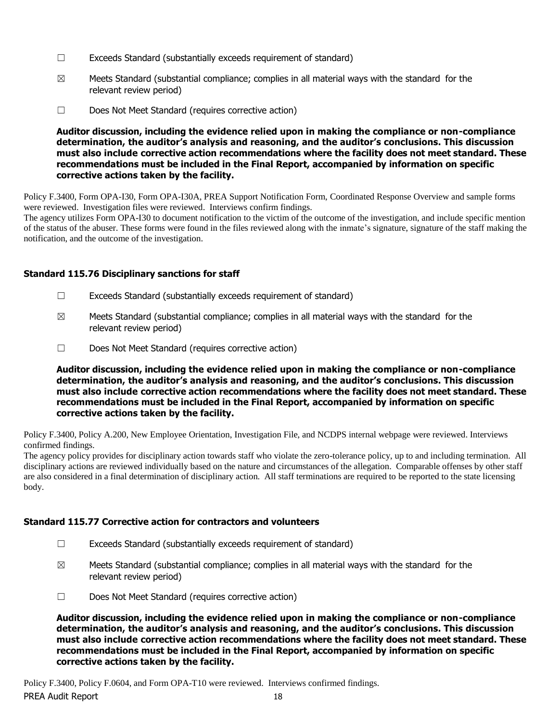- ☐ Exceeds Standard (substantially exceeds requirement of standard)
- $\boxtimes$  Meets Standard (substantial compliance; complies in all material ways with the standard for the relevant review period)
- ☐ Does Not Meet Standard (requires corrective action)

Policy F.3400, Form OPA-I30, Form OPA-I30A, PREA Support Notification Form, Coordinated Response Overview and sample forms were reviewed. Investigation files were reviewed. Interviews confirm findings.

The agency utilizes Form OPA-I30 to document notification to the victim of the outcome of the investigation, and include specific mention of the status of the abuser. These forms were found in the files reviewed along with the inmate's signature, signature of the staff making the notification, and the outcome of the investigation.

# **Standard 115.76 Disciplinary sanctions for staff**

- $\Box$  Exceeds Standard (substantially exceeds requirement of standard)
- $\boxtimes$  Meets Standard (substantial compliance; complies in all material ways with the standard for the relevant review period)
- ☐ Does Not Meet Standard (requires corrective action)

**Auditor discussion, including the evidence relied upon in making the compliance or non-compliance determination, the auditor's analysis and reasoning, and the auditor's conclusions. This discussion must also include corrective action recommendations where the facility does not meet standard. These recommendations must be included in the Final Report, accompanied by information on specific corrective actions taken by the facility.**

Policy F.3400, Policy A.200, New Employee Orientation, Investigation File, and NCDPS internal webpage were reviewed. Interviews confirmed findings.

The agency policy provides for disciplinary action towards staff who violate the zero-tolerance policy, up to and including termination. All disciplinary actions are reviewed individually based on the nature and circumstances of the allegation. Comparable offenses by other staff are also considered in a final determination of disciplinary action. All staff terminations are required to be reported to the state licensing body.

# **Standard 115.77 Corrective action for contractors and volunteers**

- $\Box$  Exceeds Standard (substantially exceeds requirement of standard)
- $\boxtimes$  Meets Standard (substantial compliance; complies in all material ways with the standard for the relevant review period)
- ☐ Does Not Meet Standard (requires corrective action)

**Auditor discussion, including the evidence relied upon in making the compliance or non-compliance determination, the auditor's analysis and reasoning, and the auditor's conclusions. This discussion must also include corrective action recommendations where the facility does not meet standard. These recommendations must be included in the Final Report, accompanied by information on specific corrective actions taken by the facility.**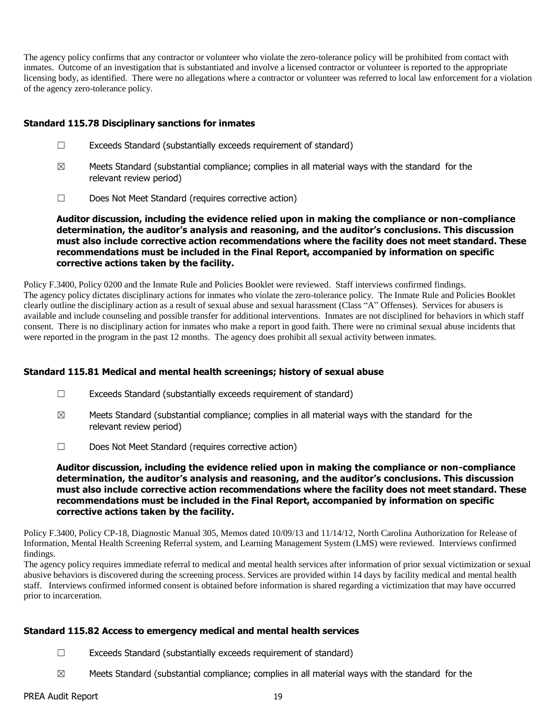The agency policy confirms that any contractor or volunteer who violate the zero-tolerance policy will be prohibited from contact with inmates. Outcome of an investigation that is substantiated and involve a licensed contractor or volunteer is reported to the appropriate licensing body, as identified. There were no allegations where a contractor or volunteer was referred to local law enforcement for a violation of the agency zero-tolerance policy.

# **Standard 115.78 Disciplinary sanctions for inmates**

- ☐ Exceeds Standard (substantially exceeds requirement of standard)
- $\boxtimes$  Meets Standard (substantial compliance; complies in all material ways with the standard for the relevant review period)
- ☐ Does Not Meet Standard (requires corrective action)

**Auditor discussion, including the evidence relied upon in making the compliance or non-compliance determination, the auditor's analysis and reasoning, and the auditor's conclusions. This discussion must also include corrective action recommendations where the facility does not meet standard. These recommendations must be included in the Final Report, accompanied by information on specific corrective actions taken by the facility.**

Policy F.3400, Policy 0200 and the Inmate Rule and Policies Booklet were reviewed. Staff interviews confirmed findings. The agency policy dictates disciplinary actions for inmates who violate the zero-tolerance policy. The Inmate Rule and Policies Booklet clearly outline the disciplinary action as a result of sexual abuse and sexual harassment (Class "A" Offenses). Services for abusers is available and include counseling and possible transfer for additional interventions. Inmates are not disciplined for behaviors in which staff consent. There is no disciplinary action for inmates who make a report in good faith. There were no criminal sexual abuse incidents that were reported in the program in the past 12 months. The agency does prohibit all sexual activity between inmates.

# **Standard 115.81 Medical and mental health screenings; history of sexual abuse**

- $\Box$  Exceeds Standard (substantially exceeds requirement of standard)
- $\boxtimes$  Meets Standard (substantial compliance; complies in all material ways with the standard for the relevant review period)
- ☐ Does Not Meet Standard (requires corrective action)

**Auditor discussion, including the evidence relied upon in making the compliance or non-compliance determination, the auditor's analysis and reasoning, and the auditor's conclusions. This discussion must also include corrective action recommendations where the facility does not meet standard. These recommendations must be included in the Final Report, accompanied by information on specific corrective actions taken by the facility.**

Policy F.3400, Policy CP-18, Diagnostic Manual 305, Memos dated 10/09/13 and 11/14/12, North Carolina Authorization for Release of Information, Mental Health Screening Referral system, and Learning Management System (LMS) were reviewed. Interviews confirmed findings.

The agency policy requires immediate referral to medical and mental health services after information of prior sexual victimization or sexual abusive behaviors is discovered during the screening process. Services are provided within 14 days by facility medical and mental health staff. Interviews confirmed informed consent is obtained before information is shared regarding a victimization that may have occurred prior to incarceration.

# **Standard 115.82 Access to emergency medical and mental health services**

- $\Box$  Exceeds Standard (substantially exceeds requirement of standard)
- $\boxtimes$  Meets Standard (substantial compliance; complies in all material ways with the standard for the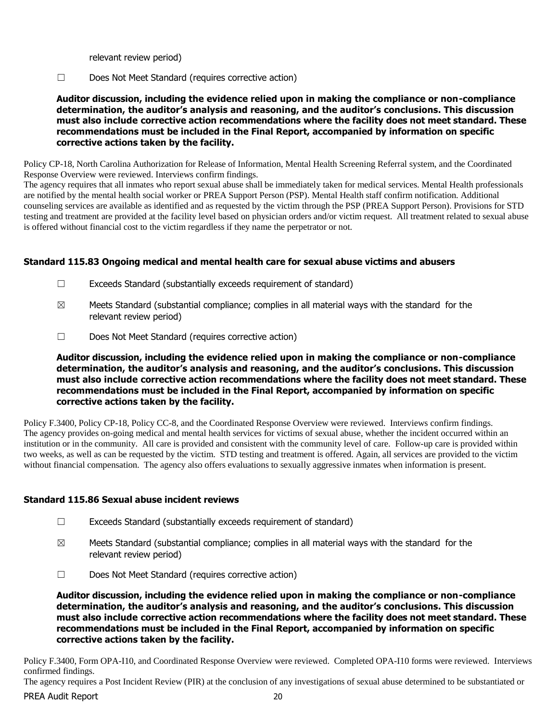relevant review period)

☐ Does Not Meet Standard (requires corrective action)

**Auditor discussion, including the evidence relied upon in making the compliance or non-compliance determination, the auditor's analysis and reasoning, and the auditor's conclusions. This discussion must also include corrective action recommendations where the facility does not meet standard. These recommendations must be included in the Final Report, accompanied by information on specific corrective actions taken by the facility.**

Policy CP-18, North Carolina Authorization for Release of Information, Mental Health Screening Referral system, and the Coordinated Response Overview were reviewed. Interviews confirm findings.

The agency requires that all inmates who report sexual abuse shall be immediately taken for medical services. Mental Health professionals are notified by the mental health social worker or PREA Support Person (PSP). Mental Health staff confirm notification. Additional counseling services are available as identified and as requested by the victim through the PSP (PREA Support Person). Provisions for STD testing and treatment are provided at the facility level based on physician orders and/or victim request. All treatment related to sexual abuse is offered without financial cost to the victim regardless if they name the perpetrator or not.

### **Standard 115.83 Ongoing medical and mental health care for sexual abuse victims and abusers**

- ☐ Exceeds Standard (substantially exceeds requirement of standard)
- $\boxtimes$  Meets Standard (substantial compliance; complies in all material ways with the standard for the relevant review period)
- ☐ Does Not Meet Standard (requires corrective action)

**Auditor discussion, including the evidence relied upon in making the compliance or non-compliance determination, the auditor's analysis and reasoning, and the auditor's conclusions. This discussion must also include corrective action recommendations where the facility does not meet standard. These recommendations must be included in the Final Report, accompanied by information on specific corrective actions taken by the facility.**

Policy F.3400, Policy CP-18, Policy CC-8, and the Coordinated Response Overview were reviewed. Interviews confirm findings. The agency provides on-going medical and mental health services for victims of sexual abuse, whether the incident occurred within an institution or in the community. All care is provided and consistent with the community level of care. Follow-up care is provided within two weeks, as well as can be requested by the victim. STD testing and treatment is offered. Again, all services are provided to the victim without financial compensation. The agency also offers evaluations to sexually aggressive inmates when information is present.

#### **Standard 115.86 Sexual abuse incident reviews**

- $\Box$  Exceeds Standard (substantially exceeds requirement of standard)
- $\boxtimes$  Meets Standard (substantial compliance; complies in all material ways with the standard for the relevant review period)
- ☐ Does Not Meet Standard (requires corrective action)

**Auditor discussion, including the evidence relied upon in making the compliance or non-compliance determination, the auditor's analysis and reasoning, and the auditor's conclusions. This discussion must also include corrective action recommendations where the facility does not meet standard. These recommendations must be included in the Final Report, accompanied by information on specific corrective actions taken by the facility.**

Policy F.3400, Form OPA-I10, and Coordinated Response Overview were reviewed. Completed OPA-I10 forms were reviewed. Interviews confirmed findings.

PREA Audit Report 20 The agency requires a Post Incident Review (PIR) at the conclusion of any investigations of sexual abuse determined to be substantiated or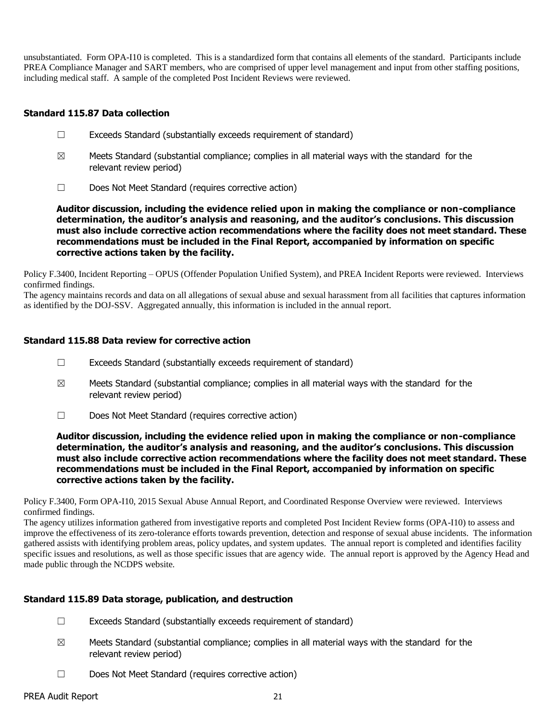unsubstantiated. Form OPA-I10 is completed. This is a standardized form that contains all elements of the standard. Participants include PREA Compliance Manager and SART members, who are comprised of upper level management and input from other staffing positions, including medical staff. A sample of the completed Post Incident Reviews were reviewed.

# **Standard 115.87 Data collection**

- ☐ Exceeds Standard (substantially exceeds requirement of standard)
- $\boxtimes$  Meets Standard (substantial compliance; complies in all material ways with the standard for the relevant review period)
- ☐ Does Not Meet Standard (requires corrective action)

**Auditor discussion, including the evidence relied upon in making the compliance or non-compliance determination, the auditor's analysis and reasoning, and the auditor's conclusions. This discussion must also include corrective action recommendations where the facility does not meet standard. These recommendations must be included in the Final Report, accompanied by information on specific corrective actions taken by the facility.**

Policy F.3400, Incident Reporting – OPUS (Offender Population Unified System), and PREA Incident Reports were reviewed. Interviews confirmed findings.

The agency maintains records and data on all allegations of sexual abuse and sexual harassment from all facilities that captures information as identified by the DOJ-SSV. Aggregated annually, this information is included in the annual report.

# **Standard 115.88 Data review for corrective action**

- $\Box$  Exceeds Standard (substantially exceeds requirement of standard)
- $\boxtimes$  Meets Standard (substantial compliance; complies in all material ways with the standard for the relevant review period)
- ☐ Does Not Meet Standard (requires corrective action)

**Auditor discussion, including the evidence relied upon in making the compliance or non-compliance determination, the auditor's analysis and reasoning, and the auditor's conclusions. This discussion must also include corrective action recommendations where the facility does not meet standard. These recommendations must be included in the Final Report, accompanied by information on specific corrective actions taken by the facility.**

Policy F.3400, Form OPA-I10, 2015 Sexual Abuse Annual Report, and Coordinated Response Overview were reviewed. Interviews confirmed findings.

The agency utilizes information gathered from investigative reports and completed Post Incident Review forms (OPA-I10) to assess and improve the effectiveness of its zero-tolerance efforts towards prevention, detection and response of sexual abuse incidents. The information gathered assists with identifying problem areas, policy updates, and system updates. The annual report is completed and identifies facility specific issues and resolutions, as well as those specific issues that are agency wide. The annual report is approved by the Agency Head and made public through the NCDPS website.

# **Standard 115.89 Data storage, publication, and destruction**

- $\Box$  Exceeds Standard (substantially exceeds requirement of standard)
- $\boxtimes$  Meets Standard (substantial compliance; complies in all material ways with the standard for the relevant review period)
- ☐ Does Not Meet Standard (requires corrective action)